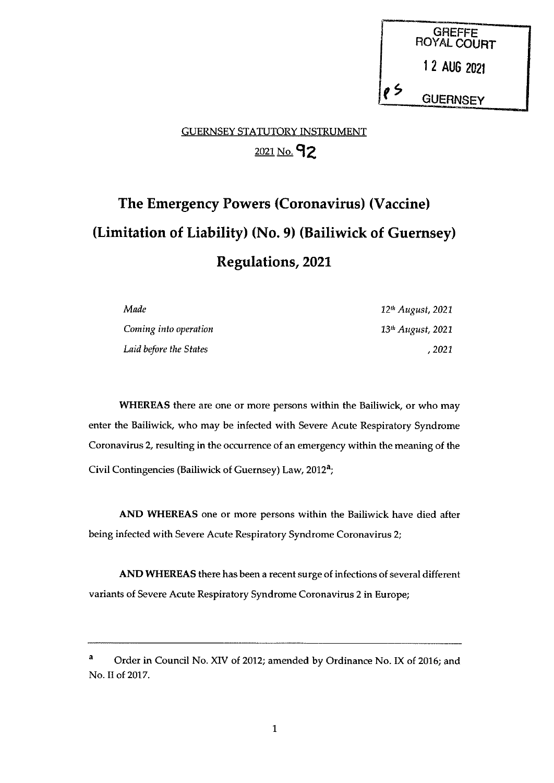GREFFE<br>ROYAL COURT 12 AUG <sup>2021</sup> **GUERNSEY** 

# GUERNSEY STATUTORY INSTRUMENT 2021 No. 92

# The Emergency Powers (Coronavirus) (Vaccine) (Limitation of Liability) (No. 9) (Bailiwick of Guernsey) Regulations, 2021

| Made                   | 12 <sup>th</sup> August, 2021 |
|------------------------|-------------------------------|
| Coming into operation  | 13 <sup>th</sup> August, 2021 |
| Laid before the States | . 2021                        |

WHEREAS there are one or more persons within the Bailiwick, or who may enter the Bailiwick, who may be infected with Severe Acute Respiratory Syndrome Coronavirus 2, resulting in the occurrence of an emergency within the meaning of the Civil Contingencies (Bailiwick of Guernsey) Law, 2012a;

AND WHEREAS one or more persons within the Bailiwick have died after being infected with Severe Acute Respiratory Syndrome Coronavirus 2;

AND WHEREAS there has been a recent surge of infections of several different variants of Severe Acute Respiratory Syndrome Coronavirus 2 in Europe;

<sup>&</sup>lt;sup>a</sup> Order in Council No. XIV of 2012; amended by Ordinance No. IX of 2016; and No. II of 2017.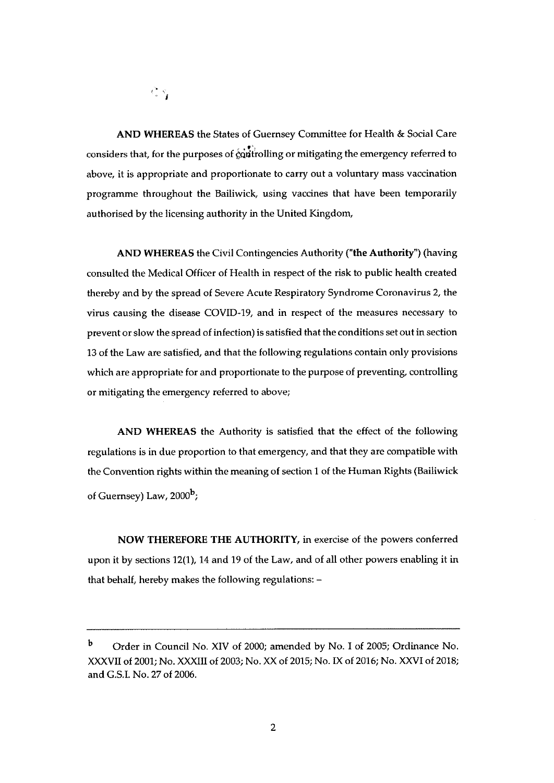$\mathcal{K}^{\bullet}_{\mathcal{S}}\subset\mathcal{S}$ 

AND WHEREAS the States of Guernsey Committee for Health & Social Care considers that, for the purposes of  $\ddot{\hat{c}}$  constrainting or mitigating the emergency referred to above, it is appropriate and proportionate to carry out a voluntary mass vaccination programme throughout the Bailiwick, using vaccines that have been temporarily authorised by the licensing authority in the United Kingdom,

AND WHEREAS the Civil Contingencies Authority ("the Authority") (having consulted the Medical Officer of Health in respect of the risk to public health created thereby and by the spread of Severe Acute Respiratory Syndrome Coronavirus 2, the virus causing the disease COVID-19, and in respect of the measures necessary to prevent or slow the spread of infection) is satisfied that the conditions set out in section 13 of the Law are satisfied, and that the following regulations contain only provisions which are appropriate for and proportionate to the purpose of preventing, controlling or mitigating the emergency referred to above;

AND WHEREAS the Authority is satisfied that the effect of the following regulations is in due proportion to that emergency, and that they are compatible with the Convention rights within the meaning of section <sup>1</sup> of the Human Rights (Bailiwick of Guernsey) Law, 2000<sup>b</sup>;

NOW THEREFORE THE AUTHORITY, in exercise of the powers conferred upon it by sections 12(1), 14 and 19 of the Law, and of all other powers enabling it in that behalf, hereby makes the following regulations: —

<sup>b</sup> Order in Council No. XIV of 2000; amended by No. <sup>I</sup> of 2005; Ordinance No. XXXVII of 2001; No. XXXIII of 2003; No. XX of 2015; No. IX of 2016; No. XXVI of 2018; and G.S.I. No. 27 of 2006.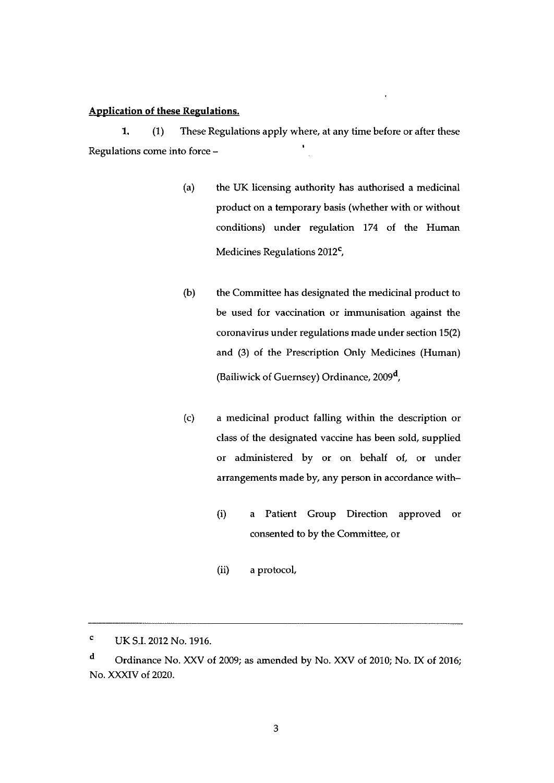#### Application of these Regulations.

1. (1) These Regulations apply where, at any time before or after these Regulations come into force —

- (a) the UK licensing authority has authorised a medicinal product on a temporary basis (whether with or without conditions) under regulation 174 of the Human Medicines Regulations 2012<sup>c</sup>,
- (b) the Committee has designated the medicinal product to be used for vaccination or immunisation against the coronavirus under regulations made under section 15(2) and (3) of the Prescription Only Medicines (Human) (Bailiwick of Guernsey) Ordinance, 2009<sup>d</sup>,
- (c) a medicinal product falling within the description or class of the designated vaccine has been sold, supplied or administered by or on behalf of, or under arrangements made by, any person in accordance with—
	- (i) a Patient Group Direction approved or consented to by the Committee, or
	- (ii) a protocol,

<sup>C</sup> UK S.I. 2012 No. 1916.

<sup>d</sup> Ordinance No. XXV of 2009; as amended by No. XXV of 2010; No. IX of 2016; No. XXXIV of 2020.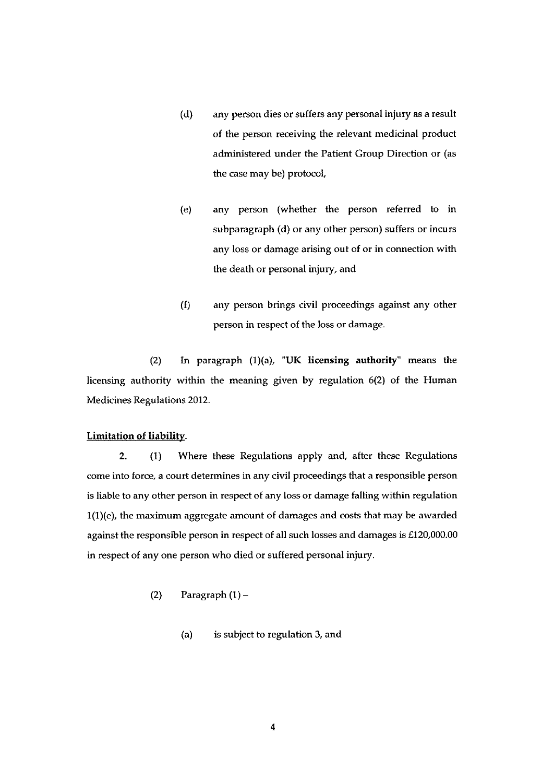- (d) any person dies or suffers any personal injury as a result of the person receiving the relevant medicinal product administered under the Patient Group Direction or (as the case may be) protocol,
- (e) any person (whether the person referred to in subparagraph (d) or any other person) suffers or incurs any loss or damage arising out of or in connection with the death or personal injury, and
- (f) any person brings civil proceedings against any other person in respect of the loss or damage.

(2) In paragraph (1)(a), "UK licensing authority" means the licensing authority within the meaning given by regulation 6(2) of the Human Medicines Regulations 2012.

## Limitation of liability.

2. (1) Where these Regulations apply and, after these Regulations come into force, a court determines in any civil proceedings that a responsible person is liable to any other person in respect of any loss or damage falling within regulation 1(1)(e), the maximum aggregate amount of damages and costs that may be awarded against the responsible person in respect of all such losses and damages is £120,000.00 in respect of any one person who died or suffered personal injury.

- (2) Paragraph  $(1)$ 
	- (a) is subject to regulation 3, and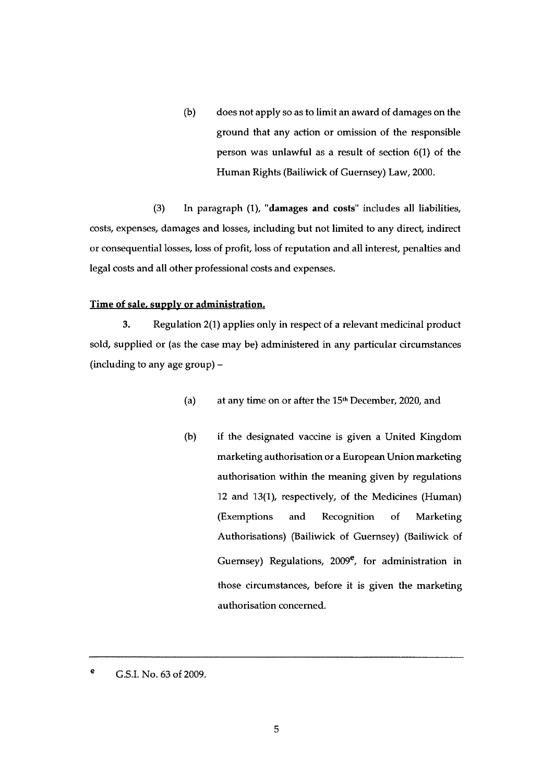(b) does not apply so as to limit an award of damages on the ground that any action or omission of the responsible person was unlawful as a result of section 6(1) of the Human Rights (Bailiwick of Guernsey) Law, 2000.

(3) In paragraph (1), "damages and costs" includes all liabilities, costs, expenses, damages and losses, including but not limited to any direct indirect or consequential losses, loss of profit, loss of reputation and all interest, penalties and legal costs and all other professional costs and expenses.

#### Time of sale, supply or administration.

3. Regulation 2(1) applies only in respect of a relevant medicinal product sold, supplied or (as the case may be) administered in any particular circumstances (including to any age group) —

- (a) at any time on or after the 15<sup>th</sup> December, 2020, and
- (b) if the designated vaccine is given a United Kingdom marketing authorisation or a European Union marketing authorisation within the meaning given by regulations 12 and 13(1), respectively, of the Medicines (Human) (Exemptions and Recognition of Marketing Authorisations) (Bailiwick of Guernsey) (Bailiwick of Guernsey) Regulations,  $2009^e$ , for administration in those circumstances, before it is given the marketing authorisation concerned.

<sup>e</sup> G.S.I. No. 63 of 2009.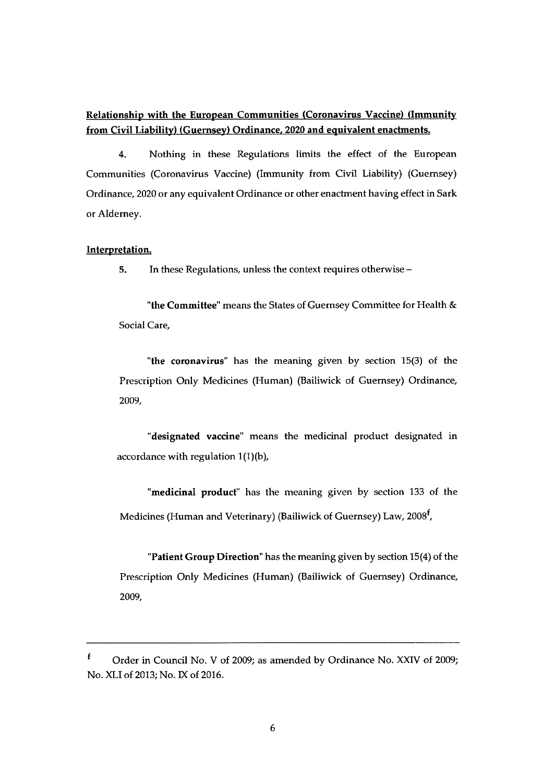# Relationship with the European Communities (Coronavirus Vaccine) (Immunity from Civil Liability) (Guernsey) Ordinance. 2020 and equivalent enactments.

4. Nothing in these Regulations limits the effect of the European Communities (Coronavirus Vaccine) (Immunity from Civil Liability) (Guernsey) Ordinance, 2020 or any equivalent Ordinance or other enactment having effect in Sark or Alderney.

#### Interpretation.

5. In these Regulations, unless the context requires otherwise —

"the Committee" means the States of Guernsey Committee for Health & Social Care,

"the coronavirus" has the meaning given by section 15(3) of the Prescription Only Medicines (Human) (Bailiwick of Guernsey) Ordinance, 2009,

"designated vaccine" means the medicinal product designated in accordance with regulation 1(1)(b),

"medicinal product" has the meaning given by section 133 of the Medicines (Human and Veterinary) (Bailiwick of Guernsey) Law, 2008<sup>f</sup>,

"Patient Group Direction' has the meaning given by section 15(4) of the Prescription Only Medicines (Human) (Bailiwick of Guernsey) Ordinance, 2009,

 $\mathbf f$ Order in Council No. V of 2009; as amended by Ordinance No. XXIV of 2009; No. XLI of 2013; No. IX of 2016.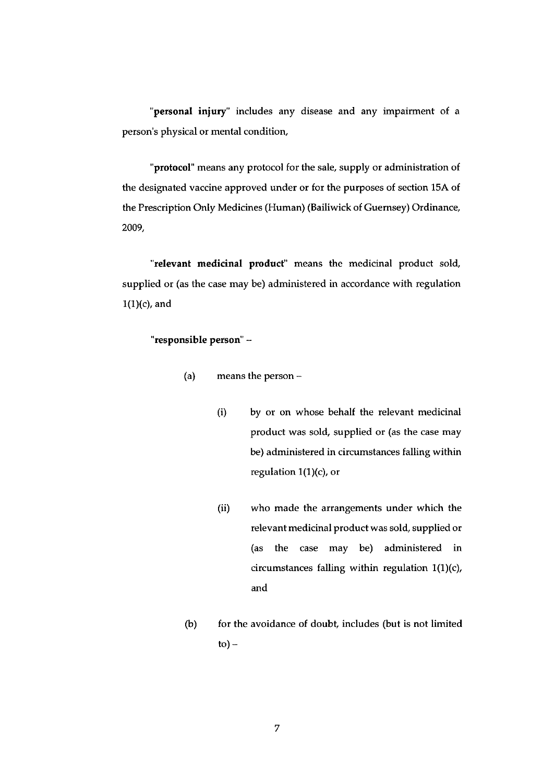"personal injury" includes any disease and any impairment of a person's physical or mental condition,

"protocol" means any protocol for the sale, supply or administration of the designated vaccine approved under or for the purposes of section 15A of the Prescription Only Medicines (Human) (Bailiwick of Guernsey) Ordinance, 2009,

"relevant medicinal product" means the medicinal product sold, supplied or (as the case may be) administered in accordance with regulation 1(1)(c), and

#### "responsible person" —

- (a) means the person
	- (i) by or on whose behalf the relevant medicinal product was sold, supplied or (as the case may be) administered in circumstances falling within regulation  $1(1)(c)$ , or
	- (ii) who made the arrangements under which the relevant medicinal product was sold, supplied or (as the case may be) administered in circumstances falling within regulation 1(1)(c), and
- (b) for the avoidance of doubt, includes (but is not limited  $to$ ) –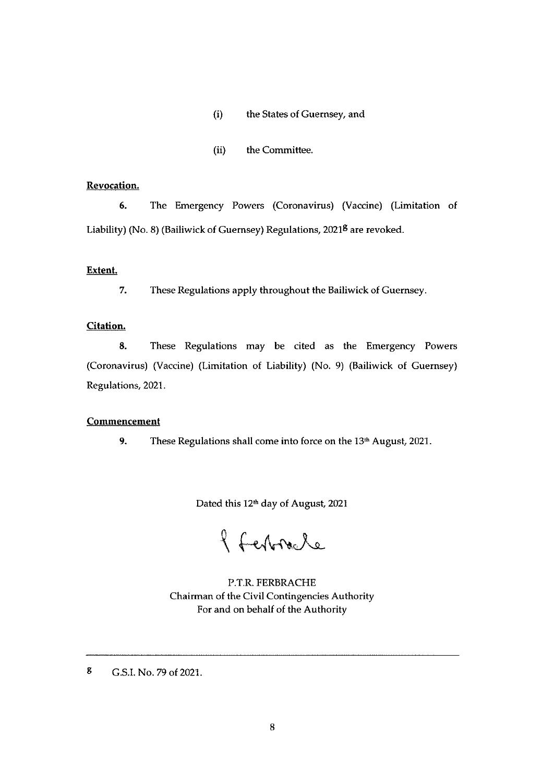#### (i) the States of Guernsey, and

(ii) the Committee.

#### Revocation.

6. The Emergency Powers (Coronavirus) (Vaccine) (Limitation of Liability) (No. 8) (Bailiwick of Guernsey) Regulations, 2021<sup>8</sup> are revoked.

#### Extent.

7. These Regulations apply throughout the Bailiwick of Guernsey.

#### Citation.

8. These Regulations may be cited as the Emergency Powers (Coronavirus) (Vaccine) (Limitation of Liability) (No. 9) (Bailiwick of Guernsey) Regulations, 2021.

#### **Commencement**

9. These Regulations shall come into force on the 13<sup>th</sup> August, 2021.

Dated this 12<sup>th</sup> day of August, 2021

8 Februare

P.T.R. FERBRACHE Chairman of the Civil Contingencies Authority For and on behalf of the Authority

<sup>g</sup> G.S.I. No.79 of 2021.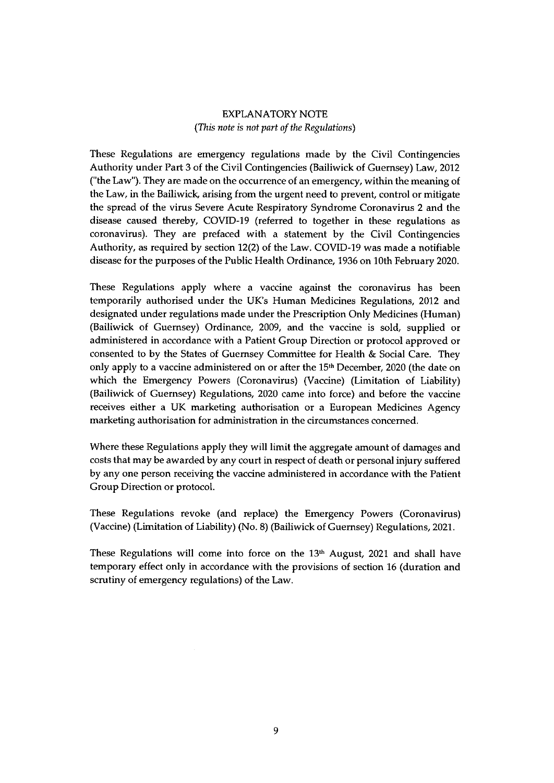## EXPLANATORY NOTE (This note is not part of the Regulations)

These Regulations are emergency regulations made by the Civil Contingencies Authority under Part 3 of the Civil Contingencies (Bailiwick of Guernsey) Law, 2012 ('the Law"). They are made on the occurrence of an emergency, within the meaning of the Law, in the Bailiwick, arising from the urgent need to prevent, control or mitigate the spread of the virus Severe Acute Respiratory Syndrome Coronavirus <sup>2</sup> and the disease caused thereby, COVID-19 (referred to together in these regulations as coronavirus). They are prefaced with a statement by the Civil Contingencies Authority, as required by section 12(2) of the Law. COVID-19 was made a notifiable disease for the purposes of the Public Health Ordinance, 1936 on 10th February 2020.

These Regulations apply where a vaccine against the coronavirus has been temporarily authorised under the UK's Human Medicines Regulations, 2012 and designated under regulations made under the Prescription Only Medicines (Human) (Bailiwick of Guernsey) Ordinance, 2009, and the vaccine is sold, supplied or administered in accordance with a Patient Group Direction or protocol approved or consented to by the States of Guernsey Committee for Health & Social Care. They only apply to a vaccine administered on or after the 15th December, 2020 (the date on which the Emergency Powers (Coronavirus) (Vaccine) (Limitation of Liability) (Bailiwick of Guernsey) Regulations, 2020 came into force) and before the vaccine receives either a UK marketing authorisation or a European Medicines Agency marketing authorisation for administration in the circumstances concerned.

Where these Regulations apply they will limit the aggregate amount of damages and costs that may be awarded by any court in respect of death or personal injury suffered by any one person receiving the vaccine administered in accordance with the Patient Group Direction or protocol.

These Regulations revoke (and replace) the Emergency Powers (Coronavirus) (Vaccine) (Limitation of Liability) (No. 8) (Bailiwick of Guernsey) Regulations, 2021.

These Regulations will come into force on the 13<sup>th</sup> August, 2021 and shall have temporary effect only in accordance with the provisions of section 16 (duration and scrutiny of emergency regulations) of the Law.